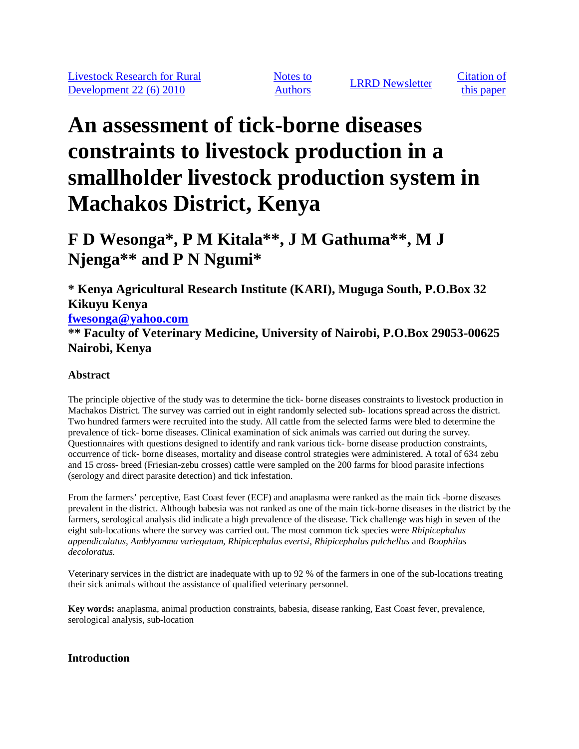Notes to

Notes to<br>Authors LIRRD Newsletter Citation of<br>this paper

this paper

# **An assessment of tick-borne diseases constraints to livestock production in a smallholder livestock production system in Machakos District, Kenya**

**F D Wesonga\*, P M Kitala\*\*, J M Gathuma\*\*, M J Njenga\*\* and P N Ngumi\***

**\* Kenya Agricultural Research Institute (KARI), Muguga South, P.O.Box 32 Kikuyu Kenya**

**fwesonga@yahoo.com**

**\*\* Faculty of Veterinary Medicine, University of Nairobi, P.O.Box 29053-00625 Nairobi, Kenya**

# **Abstract**

The principle objective of the study was to determine the tick- borne diseases constraints to livestock production in Machakos District. The survey was carried out in eight randomly selected sub- locations spread across the district. Two hundred farmers were recruited into the study. All cattle from the selected farms were bled to determine the prevalence of tick- borne diseases. Clinical examination of sick animals was carried out during the survey. Questionnaires with questions designed to identify and rank various tick- borne disease production constraints, occurrence of tick- borne diseases, mortality and disease control strategies were administered. A total of 634 zebu and 15 cross- breed (Friesian-zebu crosses) cattle were sampled on the 200 farms for blood parasite infections (serology and direct parasite detection) and tick infestation.

From the farmers' perceptive, East Coast fever (ECF) and anaplasma were ranked as the main tick -borne diseases prevalent in the district. Although babesia was not ranked as one of the main tick-borne diseases in the district by the farmers, serological analysis did indicate a high prevalence of the disease. Tick challenge was high in seven of the eight sub-locations where the survey was carried out. The most common tick species were *Rhipicephalus appendiculatus, Amblyomma variegatum, Rhipicephalus evertsi, Rhipicephalus pulchellus* and *Boophilus decoloratus.*

Veterinary services in the district are inadequate with up to 92 % of the farmers in one of the sub-locations treating their sick animals without the assistance of qualified veterinary personnel.

**Key words:** anaplasma, animal production constraints, babesia, disease ranking, East Coast fever, prevalence, serological analysis, sub-location

# **Introduction**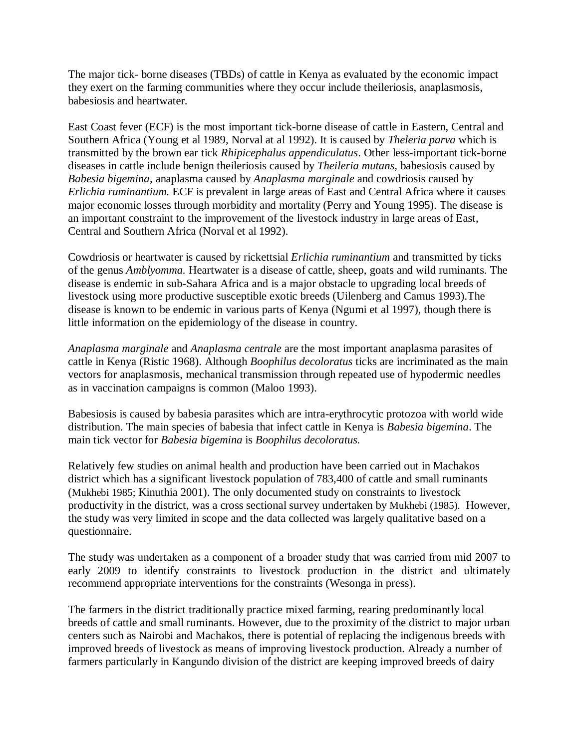The major tick- borne diseases (TBDs) of cattle in Kenya as evaluated by the economic impact they exert on the farming communities where they occur include theileriosis, anaplasmosis, babesiosis and heartwater.

East Coast fever (ECF) is the most important tick-borne disease of cattle in Eastern, Central and Southern Africa (Young et al 1989, Norval at al 1992). It is caused by *Theleria parva* which is transmitted by the brown ear tick *Rhipicephalus appendiculatus*. Other less-important tick-borne diseases in cattle include benign theileriosis caused by *Theileria mutans*, babesiosis caused by *Babesia bigemina*, anaplasma caused by *Anaplasma marginale* and cowdriosis caused by *Erlichia ruminantium.* ECF is prevalent in large areas of East and Central Africa where it causes major economic losses through morbidity and mortality (Perry and Young 1995). The disease is an important constraint to the improvement of the livestock industry in large areas of East, Central and Southern Africa (Norval et al 1992).

Cowdriosis or heartwater is caused by rickettsial *Erlichia ruminantium* and transmitted by ticks of the genus *Amblyomma.* Heartwater is a disease of cattle, sheep, goats and wild ruminants. The disease is endemic in sub-Sahara Africa and is a major obstacle to upgrading local breeds of livestock using more productive susceptible exotic breeds (Uilenberg and Camus 1993).The disease is known to be endemic in various parts of Kenya (Ngumi et al 1997), though there is little information on the epidemiology of the disease in country.

*Anaplasma marginale* and *Anaplasma centrale* are the most important anaplasma parasites of cattle in Kenya (Ristic 1968). Although *Boophilus decoloratus* ticks are incriminated as the main vectors for anaplasmosis, mechanical transmission through repeated use of hypodermic needles as in vaccination campaigns is common (Maloo 1993).

Babesiosis is caused by babesia parasites which are intra-erythrocytic protozoa with world wide distribution. The main species of babesia that infect cattle in Kenya is *Babesia bigemina*. The main tick vector for *Babesia bigemina* is *Boophilus decoloratus.*

Relatively few studies on animal health and production have been carried out in Machakos district which has a significant livestock population of 783,400 of cattle and small ruminants (Mukhebi 1985; Kinuthia 2001). The only documented study on constraints to livestock productivity in the district, was a cross sectional survey undertaken by Mukhebi (1985). However, the study was very limited in scope and the data collected was largely qualitative based on a questionnaire.

The study was undertaken as a component of a broader study that was carried from mid 2007 to early 2009 to identify constraints to livestock production in the district and ultimately recommend appropriate interventions for the constraints (Wesonga in press).

The farmers in the district traditionally practice mixed farming, rearing predominantly local breeds of cattle and small ruminants. However, due to the proximity of the district to major urban centers such as Nairobi and Machakos, there is potential of replacing the indigenous breeds with improved breeds of livestock as means of improving livestock production. Already a number of farmers particularly in Kangundo division of the district are keeping improved breeds of dairy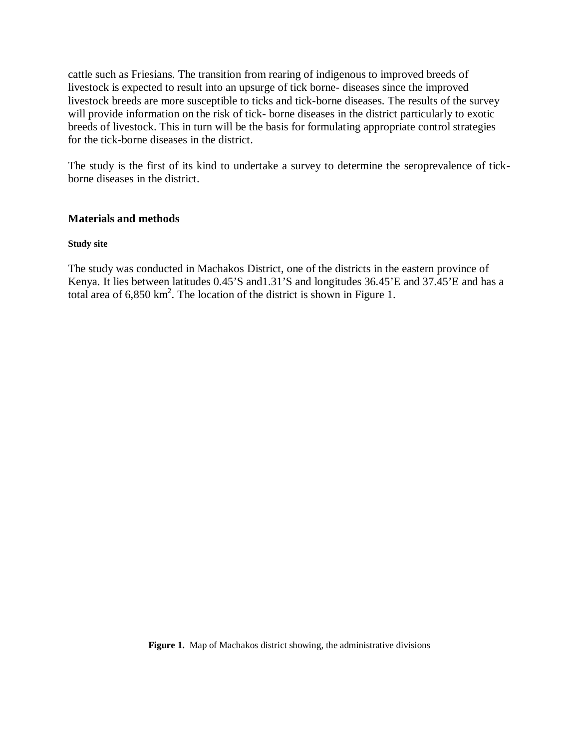cattle such as Friesians. The transition from rearing of indigenous to improved breeds of livestock is expected to result into an upsurge of tick borne- diseases since the improved livestock breeds are more susceptible to ticks and tick-borne diseases. The results of the survey will provide information on the risk of tick- borne diseases in the district particularly to exotic breeds of livestock. This in turn will be the basis for formulating appropriate control strategies for the tick-borne diseases in the district.

The study is the first of its kind to undertake a survey to determine the seroprevalence of tickborne diseases in the district.

## **Materials and methods**

#### **Study site**

The study was conducted in Machakos District, one of the districts in the eastern province of Kenya. It lies between latitudes 0.45'S and 1.31'S and longitudes 36.45'E and 37.45'E and has a total area of  $6,850 \text{ km}^2$ . The location of the district is shown in Figure 1.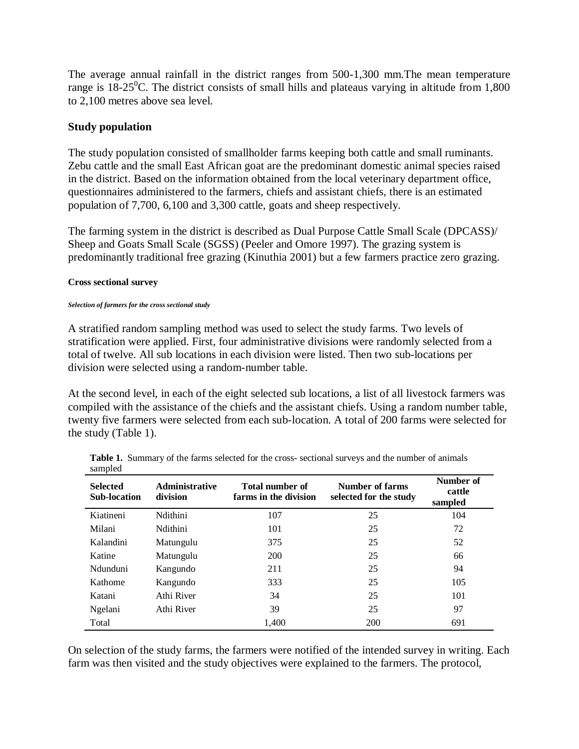The average annual rainfall in the district ranges from 500-1,300 mm.The mean temperature range is  $18-25^{\circ}$ C. The district consists of small hills and plateaus varying in altitude from 1,800 to 2,100 metres above sea level.

## **Study population**

The study population consisted of smallholder farms keeping both cattle and small ruminants. Zebu cattle and the small East African goat are the predominant domestic animal species raised in the district. Based on the information obtained from the local veterinary department office, questionnaires administered to the farmers, chiefs and assistant chiefs, there is an estimated population of 7,700, 6,100 and 3,300 cattle, goats and sheep respectively.

The farming system in the district is described as Dual Purpose Cattle Small Scale (DPCASS)/ Sheep and Goats Small Scale (SGSS) (Peeler and Omore 1997). The grazing system is predominantly traditional free grazing (Kinuthia 2001) but a few farmers practice zero grazing.

#### **Cross sectional survey**

#### *Selection of farmers for the cross sectional study*

A stratified random sampling method was used to select the study farms. Two levels of stratification were applied. First, four administrative divisions were randomly selected from a total of twelve. All sub locations in each division were listed. Then two sub-locations per division were selected using a random-number table.

At the second level, in each of the eight selected sub locations, a list of all livestock farmers was compiled with the assistance of the chiefs and the assistant chiefs. Using a random number table, twenty five farmers were selected from each sub-location. A total of 200 farms were selected for the study (Table 1).

| <b>Selected</b><br><b>Sub-location</b> | <b>Administrative</b><br>division | Total number of<br>farms in the division | <b>Number of farms</b><br>selected for the study | Number of<br>cattle<br>sampled |
|----------------------------------------|-----------------------------------|------------------------------------------|--------------------------------------------------|--------------------------------|
| Kiatineni                              | Ndithini                          | 107                                      | 25                                               | 104                            |
| Milani                                 | Ndithini                          | 101                                      | 25                                               | 72                             |
| Kalandini                              | Matungulu                         | 375                                      | 25                                               | 52                             |
| Katine                                 | Matungulu                         | 200                                      | 25                                               | 66                             |
| Ndunduni                               | Kangundo                          | 211                                      | 25                                               | 94                             |
| Kathome                                | Kangundo                          | 333                                      | 25                                               | 105                            |
| Katani                                 | Athi River                        | 34                                       | 25                                               | 101                            |
| Ngelani                                | Athi River                        | 39                                       | 25                                               | 97                             |
| Total                                  |                                   | 1,400                                    | 200                                              | 691                            |

**Table 1.** Summary of the farms selected for the cross- sectional surveys and the number of animals sampled

On selection of the study farms, the farmers were notified of the intended survey in writing. Each farm was then visited and the study objectives were explained to the farmers. The protocol,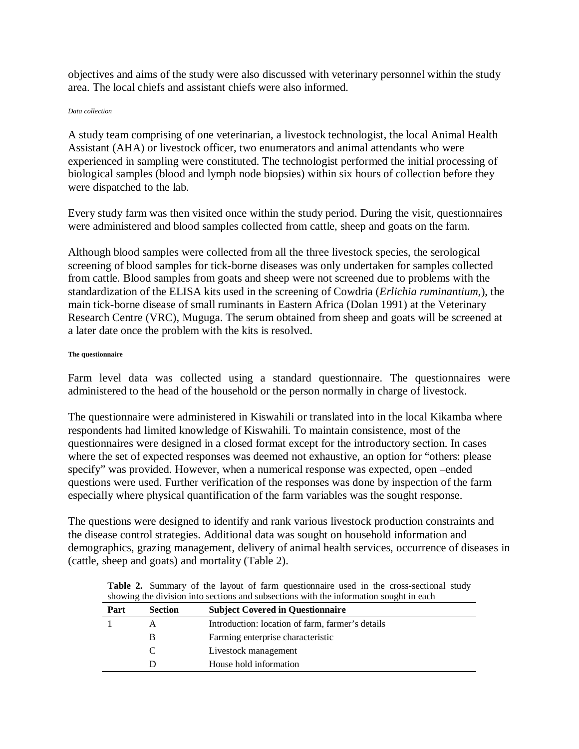objectives and aims of the study were also discussed with veterinary personnel within the study area. The local chiefs and assistant chiefs were also informed.

#### *Data collection*

A study team comprising of one veterinarian, a livestock technologist, the local Animal Health Assistant (AHA) or livestock officer, two enumerators and animal attendants who were experienced in sampling were constituted. The technologist performed the initial processing of biological samples (blood and lymph node biopsies) within six hours of collection before they were dispatched to the lab.

Every study farm was then visited once within the study period. During the visit, questionnaires were administered and blood samples collected from cattle, sheep and goats on the farm.

Although blood samples were collected from all the three livestock species, the serological screening of blood samples for tick-borne diseases was only undertaken for samples collected from cattle. Blood samples from goats and sheep were not screened due to problems with the standardization of the ELISA kits used in the screening of Cowdria (*Erlichia ruminantium,*), the main tick-borne disease of small ruminants in Eastern Africa (Dolan 1991) at the Veterinary Research Centre (VRC), Muguga. The serum obtained from sheep and goats will be screened at a later date once the problem with the kits is resolved.

#### **The questionnaire**

Farm level data was collected using a standard questionnaire. The questionnaires were administered to the head of the household or the person normally in charge of livestock.

The questionnaire were administered in Kiswahili or translated into in the local Kikamba where respondents had limited knowledge of Kiswahili. To maintain consistence, most of the questionnaires were designed in a closed format except for the introductory section. In cases where the set of expected responses was deemed not exhaustive, an option for "others: please specify" was provided. However, when a numerical response was expected, open –ended questions were used. Further verification of the responses was done by inspection of the farm especially where physical quantification of the farm variables was the sought response.

The questions were designed to identify and rank various livestock production constraints and the disease control strategies. Additional data was sought on household information and demographics, grazing management, delivery of animal health services, occurrence of diseases in (cattle, sheep and goats) and mortality (Table 2).

|      | showing the division into sections and subsections with the information sought in each |                                                  |  |  |  |  |  |  |
|------|----------------------------------------------------------------------------------------|--------------------------------------------------|--|--|--|--|--|--|
| Part | <b>Section</b>                                                                         | <b>Subject Covered in Questionnaire</b>          |  |  |  |  |  |  |
|      | A                                                                                      | Introduction: location of farm, farmer's details |  |  |  |  |  |  |
|      | B                                                                                      | Farming enterprise characteristic                |  |  |  |  |  |  |
|      |                                                                                        | Livestock management                             |  |  |  |  |  |  |
|      |                                                                                        | House hold information                           |  |  |  |  |  |  |

**Table 2.** Summary of the layout of farm questionnaire used in the cross-sectional study showing the division into sections and subsections with the information sought in each nformation sous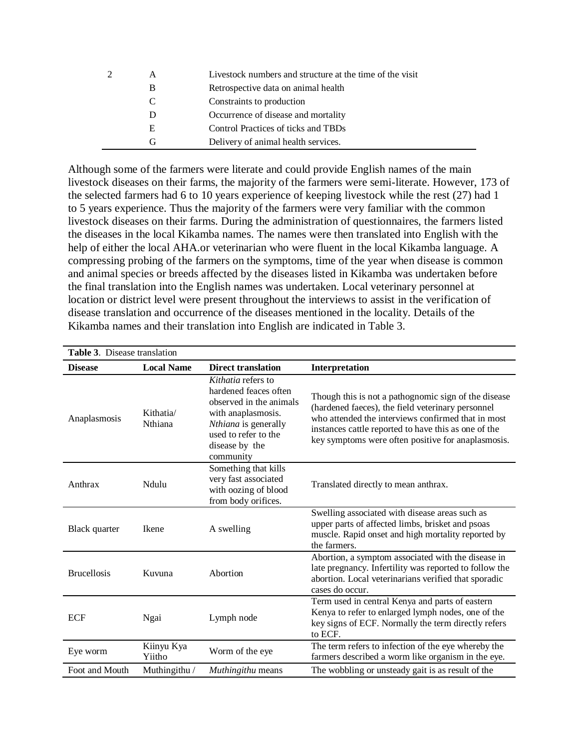| А | Livestock numbers and structure at the time of the visit |
|---|----------------------------------------------------------|
| В | Retrospective data on animal health                      |
| C | Constraints to production                                |
| Ð | Occurrence of disease and mortality                      |
| E | Control Practices of ticks and TBDs                      |
| G | Delivery of animal health services.                      |

Although some of the farmers were literate and could provide English names of the main livestock diseases on their farms, the majority of the farmers were semi-literate. However, 173 of the selected farmers had 6 to 10 years experience of keeping livestock while the rest (27) had 1 to 5 years experience. Thus the majority of the farmers were very familiar with the common livestock diseases on their farms. During the administration of questionnaires, the farmers listed the diseases in the local Kikamba names. The names were then translated into English with the help of either the local AHA.or veterinarian who were fluent in the local Kikamba language. A compressing probing of the farmers on the symptoms, time of the year when disease is common and animal species or breeds affected by the diseases listed in Kikamba was undertaken before the final translation into the English names was undertaken. Local veterinary personnel at location or district level were present throughout the interviews to assist in the verification of disease translation and occurrence of the diseases mentioned in the locality. Details of the Kikamba names and their translation into English are indicated in Table 3.

| Table 3. Disease translation |                      |                                                                                                                                                                             |                                                                                                                                                                                                                                                                               |  |  |  |  |
|------------------------------|----------------------|-----------------------------------------------------------------------------------------------------------------------------------------------------------------------------|-------------------------------------------------------------------------------------------------------------------------------------------------------------------------------------------------------------------------------------------------------------------------------|--|--|--|--|
| <b>Disease</b>               | <b>Local Name</b>    | <b>Direct translation</b>                                                                                                                                                   | Interpretation                                                                                                                                                                                                                                                                |  |  |  |  |
| Anaplasmosis                 | Kithatia/<br>Nthiana | Kithatia refers to<br>hardened feaces often<br>observed in the animals<br>with anaplasmosis.<br>Nthiana is generally<br>used to refer to the<br>disease by the<br>community | Though this is not a pathognomic sign of the disease<br>(hardened faeces), the field veterinary personnel<br>who attended the interviews confirmed that in most<br>instances cattle reported to have this as one of the<br>key symptoms were often positive for anaplasmosis. |  |  |  |  |
| Anthrax                      | Ndulu                | Something that kills<br>very fast associated<br>with oozing of blood<br>from body orifices.                                                                                 | Translated directly to mean anthrax.                                                                                                                                                                                                                                          |  |  |  |  |
| Black quarter                | Ikene                | A swelling                                                                                                                                                                  | Swelling associated with disease areas such as<br>upper parts of affected limbs, brisket and psoas<br>muscle. Rapid onset and high mortality reported by<br>the farmers.                                                                                                      |  |  |  |  |
| <b>Brucellosis</b>           | Kuvuna               | Abortion                                                                                                                                                                    | Abortion, a symptom associated with the disease in<br>late pregnancy. Infertility was reported to follow the<br>abortion. Local veterinarians verified that sporadic<br>cases do occur.                                                                                       |  |  |  |  |
| <b>ECF</b>                   | Ngai                 | Lymph node                                                                                                                                                                  | Term used in central Kenya and parts of eastern<br>Kenya to refer to enlarged lymph nodes, one of the<br>key signs of ECF. Normally the term directly refers<br>to ECF.                                                                                                       |  |  |  |  |
| Eye worm                     | Kiinyu Kya<br>Yiitho | Worm of the eye                                                                                                                                                             | The term refers to infection of the eye whereby the<br>farmers described a worm like organism in the eye.                                                                                                                                                                     |  |  |  |  |
| Foot and Mouth               | Muthingithu /        | <i>Muthingithu</i> means                                                                                                                                                    | The wobbling or unsteady gait is as result of the                                                                                                                                                                                                                             |  |  |  |  |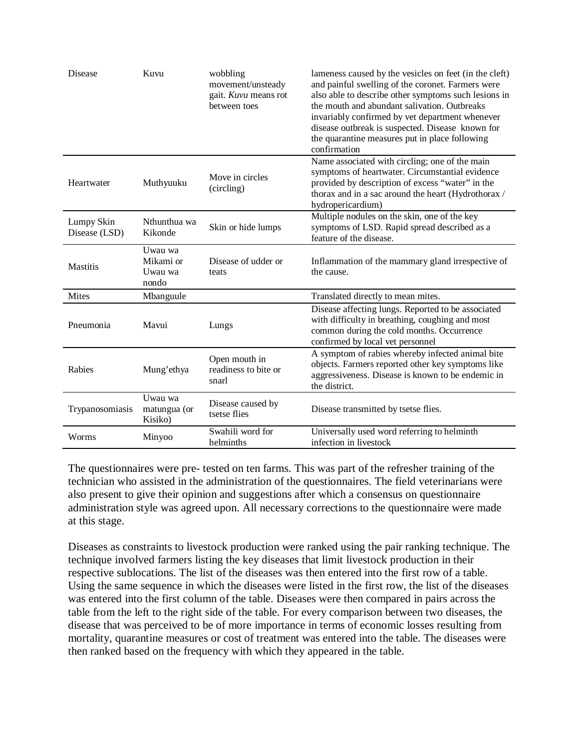| Disease                     | Kuvu                                     | wobbling<br>movement/unsteady<br>gait. Kuvu means rot<br>between toes | lameness caused by the vesicles on feet (in the cleft)<br>and painful swelling of the coronet. Farmers were<br>also able to describe other symptoms such lesions in<br>the mouth and abundant salivation. Outbreaks<br>invariably confirmed by vet department whenever<br>disease outbreak is suspected. Disease known for<br>the quarantine measures put in place following<br>confirmation |
|-----------------------------|------------------------------------------|-----------------------------------------------------------------------|----------------------------------------------------------------------------------------------------------------------------------------------------------------------------------------------------------------------------------------------------------------------------------------------------------------------------------------------------------------------------------------------|
| Heartwater                  | Muthyuuku                                | Move in circles<br>(circling)                                         | Name associated with circling; one of the main<br>symptoms of heartwater. Circumstantial evidence<br>provided by description of excess "water" in the<br>thorax and in a sac around the heart (Hydrothorax /<br>hydropericardium)                                                                                                                                                            |
| Lumpy Skin<br>Disease (LSD) | Nthunthua wa<br>Kikonde                  | Skin or hide lumps                                                    | Multiple nodules on the skin, one of the key<br>symptoms of LSD. Rapid spread described as a<br>feature of the disease.                                                                                                                                                                                                                                                                      |
| Mastitis                    | Uwau wa<br>Mikami or<br>Uwau wa<br>nondo | Disease of udder or<br>teats                                          | Inflammation of the mammary gland irrespective of<br>the cause.                                                                                                                                                                                                                                                                                                                              |
| Mites                       | Mbanguule                                |                                                                       | Translated directly to mean mites.                                                                                                                                                                                                                                                                                                                                                           |
| Pneumonia                   | Mavui                                    | Lungs                                                                 | Disease affecting lungs. Reported to be associated<br>with difficulty in breathing, coughing and most<br>common during the cold months. Occurrence<br>confirmed by local vet personnel                                                                                                                                                                                                       |
| Rabies                      | Mung'ethya                               | Open mouth in<br>readiness to bite or<br>snarl                        | A symptom of rabies whereby infected animal bite<br>objects. Farmers reported other key symptoms like<br>aggressiveness. Disease is known to be endemic in<br>the district.                                                                                                                                                                                                                  |
| Trypanosomiasis             | Uwau wa<br>matungua (or<br>Kisiko)       | Disease caused by<br>tsetse flies                                     | Disease transmitted by tsetse flies.                                                                                                                                                                                                                                                                                                                                                         |
| Worms                       | Minyoo                                   | Swahili word for<br>helminths                                         | Universally used word referring to helminth<br>infection in livestock                                                                                                                                                                                                                                                                                                                        |

The questionnaires were pre- tested on ten farms. This was part of the refresher training of the technician who assisted in the administration of the questionnaires. The field veterinarians were also present to give their opinion and suggestions after which a consensus on questionnaire administration style was agreed upon. All necessary corrections to the questionnaire were made at this stage.

Diseases as constraints to livestock production were ranked using the pair ranking technique. The technique involved farmers listing the key diseases that limit livestock production in their respective sublocations. The list of the diseases was then entered into the first row of a table. Using the same sequence in which the diseases were listed in the first row, the list of the diseases was entered into the first column of the table. Diseases were then compared in pairs across the table from the left to the right side of the table. For every comparison between two diseases, the disease that was perceived to be of more importance in terms of economic losses resulting from mortality, quarantine measures or cost of treatment was entered into the table. The diseases were then ranked based on the frequency with which they appeared in the table.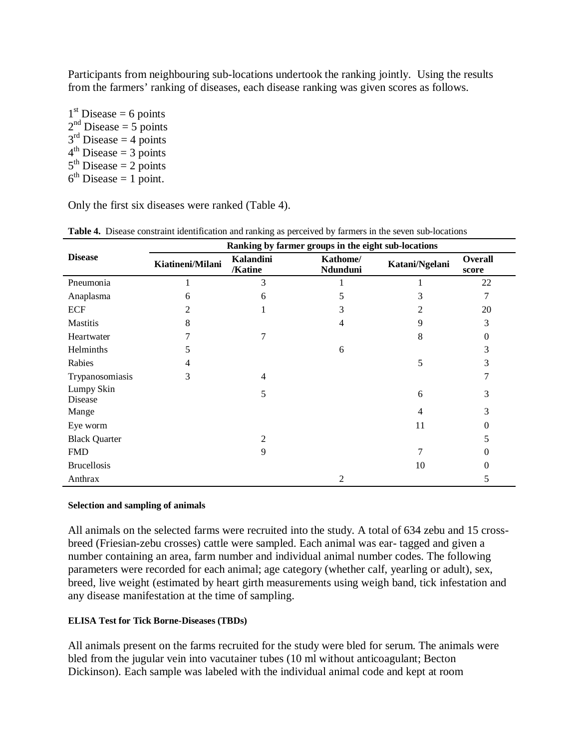Participants from neighbouring sub-locations undertook the ranking jointly. Using the results from the farmers' ranking of diseases, each disease ranking was given scores as follows.

 $1<sup>st</sup>$  Disease = 6 points  $2<sup>nd</sup>$  Disease = 5 points  $3<sup>rd</sup>$  Disease = 4 points  $4<sup>th</sup>$  Disease = 3 points  $5<sup>th</sup>$  Disease = 2 points  $6<sup>th</sup>$  Disease = 1 point.

Only the first six diseases were ranked (Table 4).

|                       | Ranking by farmer groups in the eight sub-locations |                      |                      |                |                  |  |  |  |  |  |
|-----------------------|-----------------------------------------------------|----------------------|----------------------|----------------|------------------|--|--|--|--|--|
| <b>Disease</b>        | Kiatineni/Milani                                    | Kalandini<br>/Katine | Kathome/<br>Ndunduni | Katani/Ngelani | Overall<br>score |  |  |  |  |  |
| Pneumonia             |                                                     | 3                    |                      |                | 22               |  |  |  |  |  |
| Anaplasma             | 6                                                   | 6                    | 5                    | 3              | 7                |  |  |  |  |  |
| <b>ECF</b>            | 2                                                   |                      |                      | 2              | 20               |  |  |  |  |  |
| <b>Mastitis</b>       | 8                                                   |                      | 4                    | 9              | 3                |  |  |  |  |  |
| Heartwater            |                                                     | 7                    |                      | 8              | $\Omega$         |  |  |  |  |  |
| Helminths             | 5                                                   |                      | 6                    |                | 3                |  |  |  |  |  |
| Rabies                | 4                                                   |                      |                      | 5              | 3                |  |  |  |  |  |
| Trypanosomiasis       | 3                                                   | 4                    |                      |                |                  |  |  |  |  |  |
| Lumpy Skin<br>Disease |                                                     | 5                    |                      | 6              | 3                |  |  |  |  |  |
| Mange                 |                                                     |                      |                      | 4              | 3                |  |  |  |  |  |
| Eye worm              |                                                     |                      |                      | 11             | 0                |  |  |  |  |  |
| <b>Black Quarter</b>  |                                                     | 2                    |                      |                | 5                |  |  |  |  |  |
| <b>FMD</b>            |                                                     | 9                    |                      | 7              | 0                |  |  |  |  |  |
| <b>Brucellosis</b>    |                                                     |                      |                      | 10             | $\Omega$         |  |  |  |  |  |
| Anthrax               |                                                     |                      | 2                    |                | 5                |  |  |  |  |  |

**Table 4.** Disease constraint identification and ranking as perceived by farmers in the seven sub-locations

#### **Selection and sampling of animals**

All animals on the selected farms were recruited into the study. A total of 634 zebu and 15 crossbreed (Friesian-zebu crosses) cattle were sampled. Each animal was ear- tagged and given a number containing an area, farm number and individual animal number codes. The following parameters were recorded for each animal; age category (whether calf, yearling or adult), sex, breed, live weight (estimated by heart girth measurements using weigh band, tick infestation and any disease manifestation at the time of sampling.

## **ELISA Test for Tick Borne-Diseases (TBDs)**

All animals present on the farms recruited for the study were bled for serum. The animals were bled from the jugular vein into vacutainer tubes (10 ml without anticoagulant; Becton Dickinson). Each sample was labeled with the individual animal code and kept at room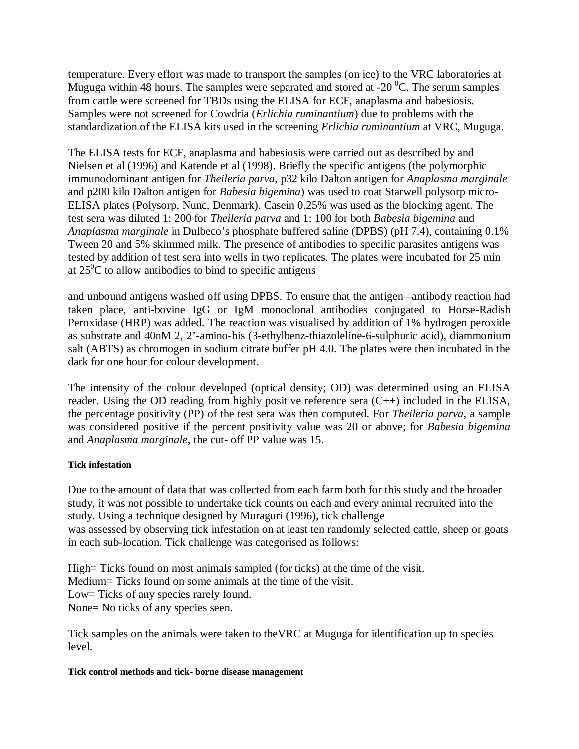temperature. Every effort was made to transport the samples (on ice) to the VRC laboratories at Muguga within 48 hours. The samples were separated and stored at -20  $^{\circ}$ C. The serum samples from cattle were screened for TBDs using the ELISA for ECF, anaplasma and babesiosis. Samples were not screened for Cowdria (*Erlichia ruminantium*) due to problems with the standardization of the ELISA kits used in the screening *Erlichia ruminantium* at VRC, Muguga.

The ELISA tests for ECF, anaplasma and babesiosis were carried out as described by and Nielsen et al (1996) and Katende et al (1998). Briefly the specific antigens (the polymorphic immunodominant antigen for *Theileria parva*, p32 kilo Dalton antigen for *Anaplasma marginale* and p200 kilo Dalton antigen for *Babesia bigemina*) was used to coat Starwell polysorp micro-ELISA plates (Polysorp, Nunc, Denmark). Casein 0.25% was used as the blocking agent. The test sera was diluted 1: 200 for *Theileria parva* and 1: 100 for both *Babesia bigemina* and *Anaplasma marginale* in Dulbeco's phosphate buffered saline (DPBS) (pH 7.4), containing 0.1% Tween 20 and 5% skimmed milk. The presence of antibodies to specific parasites antigens was tested by addition of test sera into wells in two replicates. The plates were incubated for 25 min at  $25^0$ C to allow antibodies to bind to specific antigens

and unbound antigens washed off using DPBS. To ensure that the antigen –antibody reaction had taken place, anti-bovine IgG or IgM monoclonal antibodies conjugated to Horse-Radish Peroxidase (HRP) was added. The reaction was visualised by addition of 1% hydrogen peroxide as substrate and 40nM 2, 2'-amino-bis (3-ethylbenz-thiazoleline-6-sulphuric acid), diammonium salt (ABTS) as chromogen in sodium citrate buffer pH 4.0. The plates were then incubated in the dark for one hour for colour development.

The intensity of the colour developed (optical density; OD) was determined using an ELISA reader. Using the OD reading from highly positive reference sera (C++) included in the ELISA, the percentage positivity (PP) of the test sera was then computed. For *Theileria parva*, a sample was considered positive if the percent positivity value was 20 or above; for *Babesia bigemina*  and *Anaplasma marginale*, the cut- off PP value was 15.

#### **Tick infestation**

Due to the amount of data that was collected from each farm both for this study and the broader study, it was not possible to undertake tick counts on each and every animal recruited into the study. Using a technique designed by Muraguri (1996), tick challenge was assessed by observing tick infestation on at least ten randomly selected cattle, sheep or goats in each sub-location. Tick challenge was categorised as follows:

High= Ticks found on most animals sampled (for ticks) at the time of the visit. Medium= Ticks found on some animals at the time of the visit. Low= Ticks of any species rarely found. None= No ticks of any species seen.

Tick samples on the animals were taken to theVRC at Muguga for identification up to species level.

#### **Tick control methods and tick- borne disease management**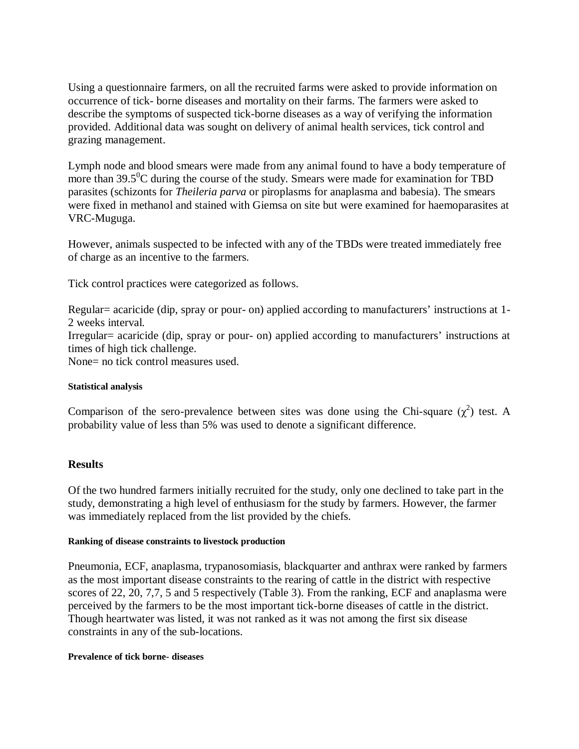Using a questionnaire farmers, on all the recruited farms were asked to provide information on occurrence of tick- borne diseases and mortality on their farms. The farmers were asked to describe the symptoms of suspected tick-borne diseases as a way of verifying the information provided. Additional data was sought on delivery of animal health services, tick control and grazing management.

Lymph node and blood smears were made from any animal found to have a body temperature of more than  $39.5^{\circ}$ C during the course of the study. Smears were made for examination for TBD parasites (schizonts for *Theileria parva* or piroplasms for anaplasma and babesia). The smears were fixed in methanol and stained with Giemsa on site but were examined for haemoparasites at VRC-Muguga.

However, animals suspected to be infected with any of the TBDs were treated immediately free of charge as an incentive to the farmers.

Tick control practices were categorized as follows.

Regular= acaricide (dip, spray or pour- on) applied according to manufacturers' instructions at 1- 2 weeks interval. Irregular= acaricide (dip, spray or pour- on) applied according to manufacturers' instructions at times of high tick challenge. None= no tick control measures used.

## **Statistical analysis**

Comparison of the sero-prevalence between sites was done using the Chi-square  $(\chi^2)$  test. A probability value of less than 5% was used to denote a significant difference.

## **Results**

Of the two hundred farmers initially recruited for the study, only one declined to take part in the study, demonstrating a high level of enthusiasm for the study by farmers. However, the farmer was immediately replaced from the list provided by the chiefs.

#### **Ranking of disease constraints to livestock production**

Pneumonia, ECF, anaplasma, trypanosomiasis, blackquarter and anthrax were ranked by farmers as the most important disease constraints to the rearing of cattle in the district with respective scores of 22, 20, 7,7, 5 and 5 respectively (Table 3). From the ranking, ECF and anaplasma were perceived by the farmers to be the most important tick-borne diseases of cattle in the district. Though heartwater was listed, it was not ranked as it was not among the first six disease constraints in any of the sub-locations.

#### **Prevalence of tick borne- diseases**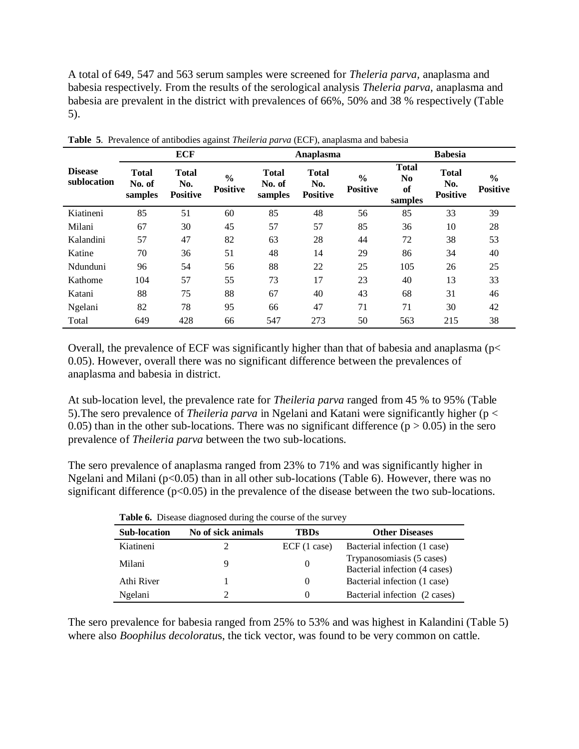A total of 649, 547 and 563 serum samples were screened for *Theleria parva,* anaplasma and babesia respectively. From the results of the serological analysis *Theleria parva,* anaplasma and babesia are prevalent in the district with prevalences of 66%, 50% and 38 % respectively (Table 5).

|                               |                                   | <b>ECF</b>                             |                                  |                                   | Anaplasma                              |                                  | <b>Babesia</b>                                  |                                        |                                  |
|-------------------------------|-----------------------------------|----------------------------------------|----------------------------------|-----------------------------------|----------------------------------------|----------------------------------|-------------------------------------------------|----------------------------------------|----------------------------------|
| <b>Disease</b><br>sublocation | <b>Total</b><br>No. of<br>samples | <b>Total</b><br>No.<br><b>Positive</b> | $\frac{6}{6}$<br><b>Positive</b> | <b>Total</b><br>No. of<br>samples | <b>Total</b><br>No.<br><b>Positive</b> | $\frac{6}{6}$<br><b>Positive</b> | <b>Total</b><br>N <sub>0</sub><br>of<br>samples | <b>Total</b><br>No.<br><b>Positive</b> | $\frac{6}{9}$<br><b>Positive</b> |
| Kiatineni                     | 85                                | 51                                     | 60                               | 85                                | 48                                     | 56                               | 85                                              | 33                                     | 39                               |
| Milani                        | 67                                | 30                                     | 45                               | 57                                | 57                                     | 85                               | 36                                              | 10                                     | 28                               |
| Kalandini                     | 57                                | 47                                     | 82                               | 63                                | 28                                     | 44                               | 72                                              | 38                                     | 53                               |
| Katine                        | 70                                | 36                                     | 51                               | 48                                | 14                                     | 29                               | 86                                              | 34                                     | 40                               |
| Ndunduni                      | 96                                | 54                                     | 56                               | 88                                | 22                                     | 25                               | 105                                             | 26                                     | 25                               |
| Kathome                       | 104                               | 57                                     | 55                               | 73                                | 17                                     | 23                               | 40                                              | 13                                     | 33                               |
| Katani                        | 88                                | 75                                     | 88                               | 67                                | 40                                     | 43                               | 68                                              | 31                                     | 46                               |
| Ngelani                       | 82                                | 78                                     | 95                               | 66                                | 47                                     | 71                               | 71                                              | 30                                     | 42                               |
| Total                         | 649                               | 428                                    | 66                               | 547                               | 273                                    | 50                               | 563                                             | 215                                    | 38                               |

**Table 5**. Prevalence of antibodies against *Theileria parva* (ECF), anaplasma and babesia

Overall, the prevalence of ECF was significantly higher than that of babesia and anaplasma (p< 0.05). However, overall there was no significant difference between the prevalences of anaplasma and babesia in district.

At sub-location level, the prevalence rate for *Theileria parva* ranged from 45 % to 95% (Table 5).The sero prevalence of *Theileria parva* in Ngelani and Katani were significantly higher (p < 0.05) than in the other sub-locations. There was no significant difference  $(p > 0.05)$  in the sero prevalence of *Theileria parva* between the two sub-locations.

The sero prevalence of anaplasma ranged from 23% to 71% and was significantly higher in Ngelani and Milani ( $p<0.05$ ) than in all other sub-locations (Table 6). However, there was no significant difference  $(p<0.05)$  in the prevalence of the disease between the two sub-locations.

| <b>Sub-location</b> | No of sick animals | TBDs        | <b>Other Diseases</b>                                      |
|---------------------|--------------------|-------------|------------------------------------------------------------|
| Kiatineni           |                    | ECF(1 case) | Bacterial infection (1 case)                               |
| Milani              | Q                  |             | Trypanosomiasis (5 cases)<br>Bacterial infection (4 cases) |
| Athi River          |                    | $\theta$    | Bacterial infection (1 case)                               |
| Ngelani             |                    | $\theta$    | Bacterial infection (2 cases)                              |

The sero prevalence for babesia ranged from 25% to 53% and was highest in Kalandini (Table 5) where also *Boophilus decoloratu*s, the tick vector, was found to be very common on cattle.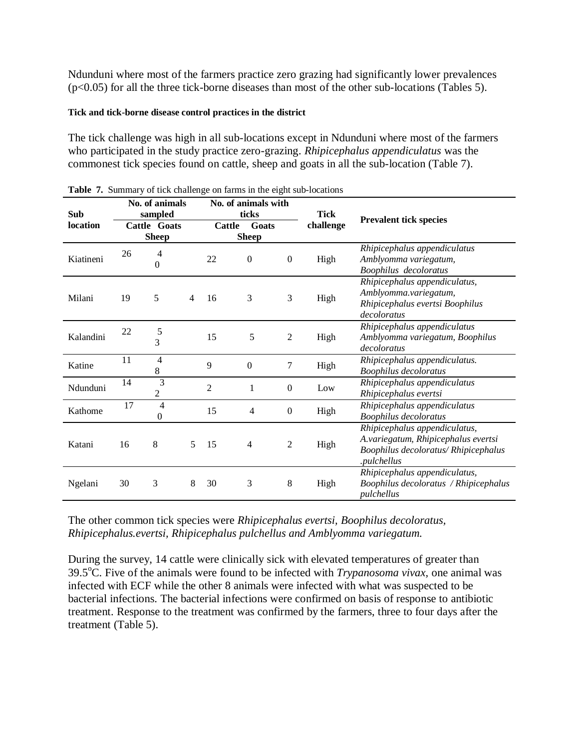Ndunduni where most of the farmers practice zero grazing had significantly lower prevalences (p<0.05) for all the three tick-borne diseases than most of the other sub-locations (Tables 5).

## **Tick and tick-borne disease control practices in the district**

The tick challenge was high in all sub-locations except in Ndunduni where most of the farmers who participated in the study practice zero-grazing. *Rhipicephalus appendiculatus* was the commonest tick species found on cattle, sheep and goats in all the sub-location (Table 7).

| Sub       |    | No. of animals<br>sampled    |   |                | No. of animals with<br>ticks |                  | <b>Tick</b> |                                                                                                                             |
|-----------|----|------------------------------|---|----------------|------------------------------|------------------|-------------|-----------------------------------------------------------------------------------------------------------------------------|
| location  |    | Cattle Goats<br><b>Sheep</b> |   | Cattle         | Goats<br><b>Sheep</b>        |                  | challenge   | <b>Prevalent tick species</b>                                                                                               |
| Kiatineni | 26 | 4<br>0                       |   | 22             | $\boldsymbol{0}$             | $\boldsymbol{0}$ | High        | Rhipicephalus appendiculatus<br>Amblyomma variegatum,<br>Boophilus decoloratus                                              |
| Milani    | 19 | 5                            | 4 | 16             | 3                            | 3                | High        | Rhipicephalus appendiculatus,<br>Amblyomma.variegatum,<br>Rhipicephalus evertsi Boophilus<br>decoloratus                    |
| Kalandini | 22 | 5<br>3                       |   | 15             | 5                            | $\overline{2}$   | High        | Rhipicephalus appendiculatus<br>Amblyomma variegatum, Boophilus<br>decoloratus                                              |
| Katine    | 11 | 4<br>$8\,$                   |   | 9              | $\mathbf{0}$                 | $\tau$           | High        | Rhipicephalus appendiculatus.<br>Boophilus decoloratus                                                                      |
| Ndunduni  | 14 | $\overline{3}$<br>2          |   | $\overline{2}$ | 1                            | $\theta$         | Low         | Rhipicephalus appendiculatus<br>Rhipicephalus evertsi                                                                       |
| Kathome   | 17 | $\overline{4}$<br>0          |   | 15             | 4                            | $\boldsymbol{0}$ | High        | Rhipicephalus appendiculatus<br><b>Boophilus decoloratus</b>                                                                |
| Katani    | 16 | 8                            | 5 | 15             | $\overline{4}$               | $\overline{2}$   | High        | Rhipicephalus appendiculatus,<br>A.variegatum, Rhipicephalus evertsi<br>Boophilus decoloratus/ Rhipicephalus<br>.pulchellus |
| Ngelani   | 30 | 3                            | 8 | 30             | 3                            | 8                | High        | Rhipicephalus appendiculatus,<br>Boophilus decoloratus / Rhipicephalus<br>pulchellus                                        |

|  |  |  |  |  |  |  | Table 7. Summary of tick challenge on farms in the eight sub-locations |
|--|--|--|--|--|--|--|------------------------------------------------------------------------|
|--|--|--|--|--|--|--|------------------------------------------------------------------------|

The other common tick species were *Rhipicephalus evertsi, Boophilus decoloratus, Rhipicephalus.evertsi, Rhipicephalus pulchellus and Amblyomma variegatum.*

During the survey, 14 cattle were clinically sick with elevated temperatures of greater than 39.5<sup>o</sup>C. Five of the animals were found to be infected with *Trypanosoma vivax*, one animal was infected with ECF while the other 8 animals were infected with what was suspected to be bacterial infections. The bacterial infections were confirmed on basis of response to antibiotic treatment. Response to the treatment was confirmed by the farmers, three to four days after the treatment (Table 5).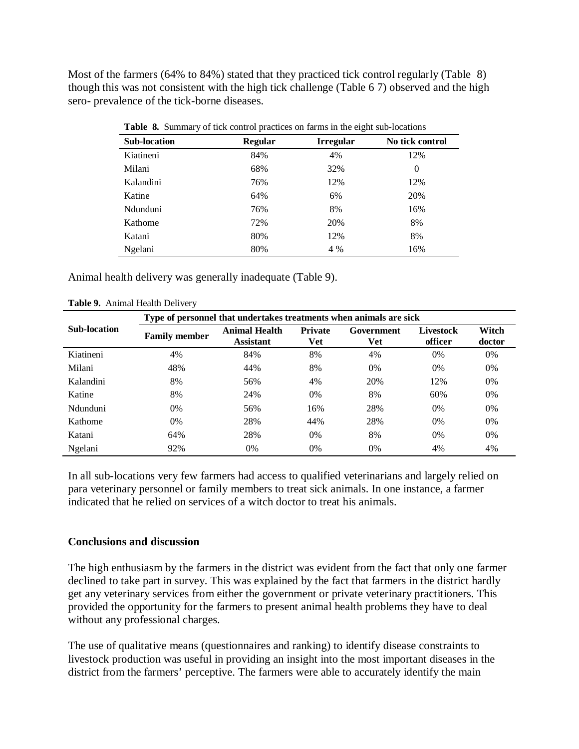Most of the farmers (64% to 84%) stated that they practiced tick control regularly (Table 8) though this was not consistent with the high tick challenge (Table 6 7) observed and the high sero- prevalence of the tick-borne diseases.

| <b>Sub-location</b> | <b>Regular</b> | <b>Irregular</b> | No tick control |
|---------------------|----------------|------------------|-----------------|
| Kiatineni           | 84%            | 4%               | 12%             |
| Milani              | 68%            | 32%              | 0               |
| Kalandini           | 76%            | 12%              | 12%             |
| Katine              | 64%            | 6%               | 20%             |
| Ndunduni            | 76%            | 8%               | 16%             |
| Kathome             | 72%            | 20%              | 8%              |
| Katani              | 80%            | 12%              | 8%              |
| Ngelani             | 80%            | 4 %              | 16%             |

**Table 8.** Summary of tick control practices on farms in the eight sub-locations

Animal health delivery was generally inadequate (Table 9).

|                     | Type of personnel that undertakes treatments when animals are sick |                                          |                       |                          |                             |                 |
|---------------------|--------------------------------------------------------------------|------------------------------------------|-----------------------|--------------------------|-----------------------------|-----------------|
| <b>Sub-location</b> | <b>Family member</b>                                               | <b>Animal Health</b><br><b>Assistant</b> | <b>Private</b><br>Vet | Government<br><b>Vet</b> | <b>Livestock</b><br>officer | Witch<br>doctor |
| Kiatineni           | 4%                                                                 | 84%                                      | 8%                    | 4%                       | 0%                          | 0%              |
| Milani              | 48%                                                                | 44%                                      | 8%                    | 0%                       | $0\%$                       | $0\%$           |
| Kalandini           | 8%                                                                 | 56%                                      | 4%                    | 20%                      | 12%                         | 0%              |
| Katine              | 8%                                                                 | 24%                                      | $0\%$                 | 8%                       | 60%                         | $0\%$           |
| Ndunduni            | $0\%$                                                              | 56%                                      | 16%                   | 28%                      | 0%                          | 0%              |
| Kathome             | 0%                                                                 | 28%                                      | 44%                   | 28%                      | $0\%$                       | $0\%$           |
| Katani              | 64%                                                                | 28%                                      | 0%                    | 8%                       | $0\%$                       | 0%              |
| Ngelani             | 92%                                                                | 0%                                       | 0%                    | 0%                       | 4%                          | 4%              |

**Table 9.** Animal Health Delivery

In all sub-locations very few farmers had access to qualified veterinarians and largely relied on para veterinary personnel or family members to treat sick animals. In one instance, a farmer indicated that he relied on services of a witch doctor to treat his animals.

## **Conclusions and discussion**

The high enthusiasm by the farmers in the district was evident from the fact that only one farmer declined to take part in survey. This was explained by the fact that farmers in the district hardly get any veterinary services from either the government or private veterinary practitioners. This provided the opportunity for the farmers to present animal health problems they have to deal without any professional charges.

The use of qualitative means (questionnaires and ranking) to identify disease constraints to livestock production was useful in providing an insight into the most important diseases in the district from the farmers' perceptive. The farmers were able to accurately identify the main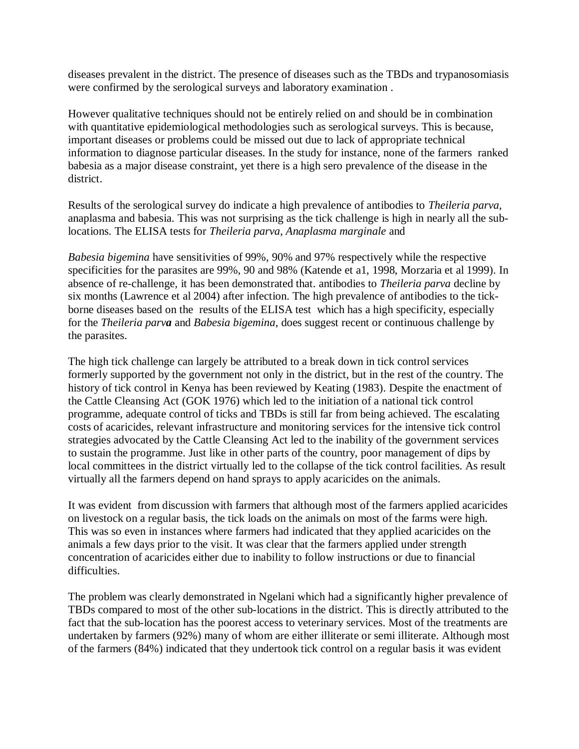diseases prevalent in the district. The presence of diseases such as the TBDs and trypanosomiasis were confirmed by the serological surveys and laboratory examination .

However qualitative techniques should not be entirely relied on and should be in combination with quantitative epidemiological methodologies such as serological surveys. This is because, important diseases or problems could be missed out due to lack of appropriate technical information to diagnose particular diseases. In the study for instance, none of the farmers ranked babesia as a major disease constraint, yet there is a high sero prevalence of the disease in the district.

Results of the serological survey do indicate a high prevalence of antibodies to *Theileria parva,* anaplasma and babesia. This was not surprising as the tick challenge is high in nearly all the sublocations. The ELISA tests for *Theileria parva*, *Anaplasma marginale* and

*Babesia bigemina* have sensitivities of 99%, 90% and 97% respectively while the respective specificities for the parasites are 99%, 90 and 98% (Katende et a1, 1998, Morzaria et al 1999). In absence of re-challenge, it has been demonstrated that. antibodies to *Theileria parva* decline by six months (Lawrence et al 2004) after infection. The high prevalence of antibodies to the tickborne diseases based on the results of the ELISA test which has a high specificity, especially for the *Theileria parva* and *Babesia bigemina*, does suggest recent or continuous challenge by the parasites.

The high tick challenge can largely be attributed to a break down in tick control services formerly supported by the government not only in the district, but in the rest of the country. The history of tick control in Kenya has been reviewed by Keating (1983). Despite the enactment of the Cattle Cleansing Act (GOK 1976) which led to the initiation of a national tick control programme, adequate control of ticks and TBDs is still far from being achieved. The escalating costs of acaricides, relevant infrastructure and monitoring services for the intensive tick control strategies advocated by the Cattle Cleansing Act led to the inability of the government services to sustain the programme. Just like in other parts of the country, poor management of dips by local committees in the district virtually led to the collapse of the tick control facilities. As result virtually all the farmers depend on hand sprays to apply acaricides on the animals.

It was evident from discussion with farmers that although most of the farmers applied acaricides on livestock on a regular basis, the tick loads on the animals on most of the farms were high. This was so even in instances where farmers had indicated that they applied acaricides on the animals a few days prior to the visit. It was clear that the farmers applied under strength concentration of acaricides either due to inability to follow instructions or due to financial difficulties.

The problem was clearly demonstrated in Ngelani which had a significantly higher prevalence of TBDs compared to most of the other sub-locations in the district. This is directly attributed to the fact that the sub-location has the poorest access to veterinary services. Most of the treatments are undertaken by farmers (92%) many of whom are either illiterate or semi illiterate. Although most of the farmers (84%) indicated that they undertook tick control on a regular basis it was evident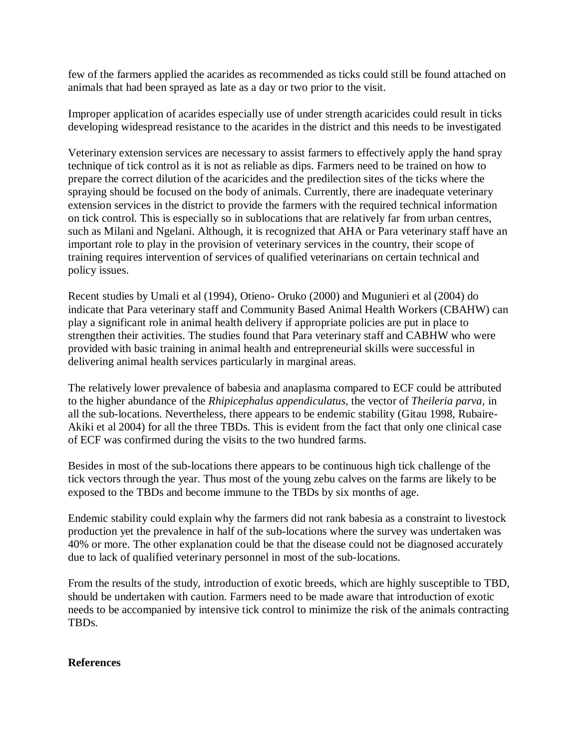few of the farmers applied the acarides as recommended as ticks could still be found attached on animals that had been sprayed as late as a day or two prior to the visit.

Improper application of acarides especially use of under strength acaricides could result in ticks developing widespread resistance to the acarides in the district and this needs to be investigated

Veterinary extension services are necessary to assist farmers to effectively apply the hand spray technique of tick control as it is not as reliable as dips. Farmers need to be trained on how to prepare the correct dilution of the acaricides and the predilection sites of the ticks where the spraying should be focused on the body of animals. Currently, there are inadequate veterinary extension services in the district to provide the farmers with the required technical information on tick control. This is especially so in sublocations that are relatively far from urban centres, such as Milani and Ngelani. Although, it is recognized that AHA or Para veterinary staff have an important role to play in the provision of veterinary services in the country, their scope of training requires intervention of services of qualified veterinarians on certain technical and policy issues.

Recent studies by Umali et al (1994), Otieno- Oruko (2000) and Mugunieri et al (2004) do indicate that Para veterinary staff and Community Based Animal Health Workers (CBAHW) can play a significant role in animal health delivery if appropriate policies are put in place to strengthen their activities. The studies found that Para veterinary staff and CABHW who were provided with basic training in animal health and entrepreneurial skills were successful in delivering animal health services particularly in marginal areas.

The relatively lower prevalence of babesia and anaplasma compared to ECF could be attributed to the higher abundance of the *Rhipicephalus appendiculatus,* the vector of *Theileria parva,* in all the sub-locations. Nevertheless, there appears to be endemic stability (Gitau 1998, Rubaire-Akiki et al 2004) for all the three TBDs. This is evident from the fact that only one clinical case of ECF was confirmed during the visits to the two hundred farms.

Besides in most of the sub-locations there appears to be continuous high tick challenge of the tick vectors through the year. Thus most of the young zebu calves on the farms are likely to be exposed to the TBDs and become immune to the TBDs by six months of age.

Endemic stability could explain why the farmers did not rank babesia as a constraint to livestock production yet the prevalence in half of the sub-locations where the survey was undertaken was 40% or more. The other explanation could be that the disease could not be diagnosed accurately due to lack of qualified veterinary personnel in most of the sub-locations.

From the results of the study, introduction of exotic breeds, which are highly susceptible to TBD, should be undertaken with caution. Farmers need to be made aware that introduction of exotic needs to be accompanied by intensive tick control to minimize the risk of the animals contracting TBDs.

## **References**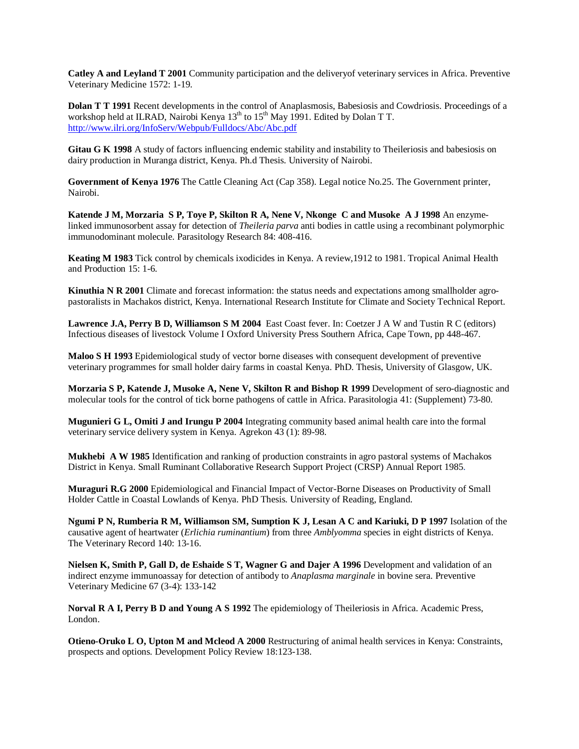**Catley A and Leyland T 2001** Community participation and the deliveryof veterinary services in Africa. Preventive Veterinary Medicine 1572: 1-19.

**Dolan T T 1991** Recent developments in the control of Anaplasmosis, Babesiosis and Cowdriosis. Proceedings of a workshop held at ILRAD, Nairobi Kenya  $13<sup>th</sup>$  to  $15<sup>th</sup>$  May 1991. Edited by Dolan T T. http://www.ilri.org/InfoServ/Webpub/Fulldocs/Abc/Abc.pdf

**Gitau G K 1998** A study of factors influencing endemic stability and instability to Theileriosis and babesiosis on dairy production in Muranga district, Kenya. Ph.d Thesis. University of Nairobi.

**Government of Kenya 1976** The Cattle Cleaning Act (Cap 358). Legal notice No.25. The Government printer, Nairobi.

**Katende J M, Morzaria S P, Toye P, Skilton R A, Nene V, Nkonge C and Musoke A J 1998** An enzymelinked immunosorbent assay for detection of *Theileria parva* anti bodies in cattle using a recombinant polymorphic immunodominant molecule. Parasitology Research 84: 408-416.

**Keating M 1983** Tick control by chemicals ixodicides in Kenya. A review,1912 to 1981. Tropical Animal Health and Production 15: 1-6.

**Kinuthia N R 2001** Climate and forecast information: the status needs and expectations among smallholder agropastoralists in Machakos district, Kenya. International Research Institute for Climate and Society Technical Report.

**Lawrence J.A, Perry B D, Williamson S M 2004** East Coast fever. In: Coetzer J A W and Tustin R C (editors) Infectious diseases of livestock Volume I Oxford University Press Southern Africa, Cape Town, pp 448-467.

**Maloo S H 1993** Epidemiological study of vector borne diseases with consequent development of preventive veterinary programmes for small holder dairy farms in coastal Kenya. PhD. Thesis, University of Glasgow, UK.

**Morzaria S P, Katende J, Musoke A, Nene V, Skilton R and Bishop R 1999** Development of sero-diagnostic and molecular tools for the control of tick borne pathogens of cattle in Africa. Parasitologia 41: (Supplement) 73-80.

**Mugunieri G L, Omiti J and Irungu P 2004** Integrating community based animal health care into the formal veterinary service delivery system in Kenya. Agrekon 43 (1): 89-98.

**Mukhebi A W 1985** Identification and ranking of production constraints in agro pastoral systems of Machakos District in Kenya. Small Ruminant Collaborative Research Support Project (CRSP) Annual Report 1985.

**Muraguri R.G 2000** Epidemiological and Financial Impact of Vector-Borne Diseases on Productivity of Small Holder Cattle in Coastal Lowlands of Kenya. PhD Thesis. University of Reading, England.

**Ngumi P N, Rumberia R M, Williamson SM, Sumption K J, Lesan A C and Kariuki, D P 1997** Isolation of the causative agent of heartwater (*Erlichia ruminantium*) from three *Amblyomma* species in eight districts of Kenya. The Veterinary Record 140: 13-16.

**Nielsen K, Smith P, Gall D, de Eshaide S T, Wagner G and Dajer A 1996** Development and validation of an indirect enzyme immunoassay for detection of antibody to *Anaplasma marginale* in bovine sera. Preventive Veterinary Medicine 67 (3-4): 133-142

**Norval R A I, Perry B D and Young A S 1992** The epidemiology of Theileriosis in Africa. Academic Press, London.

**Otieno-Oruko L O, Upton M and Mcleod A 2000** Restructuring of animal health services in Kenya: Constraints, prospects and options. Development Policy Review 18:123-138.